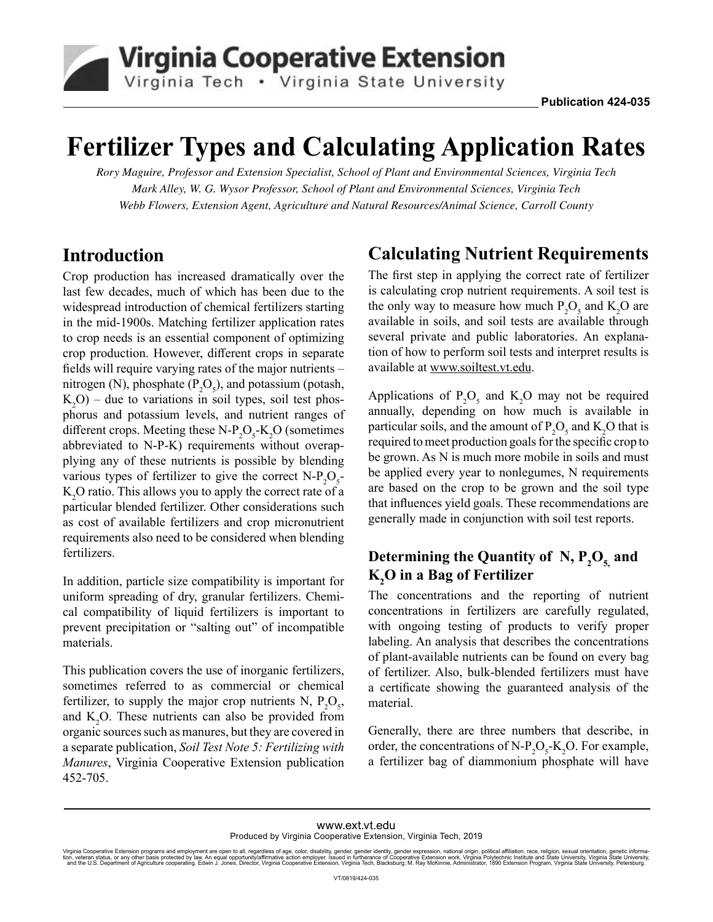

# **Fertilizer Types and Calculating Application Rates**

*Rory Maguire, Professor and Extension Specialist, School of Plant and Environmental Sciences, Virginia Tech Mark Alley, W. G. Wysor Professor, School of Plant and Environmental Sciences, Virginia Tech Webb Flowers, Extension Agent, Agriculture and Natural Resources/Animal Science, Carroll County*

## **Introduction**

Crop production has increased dramatically over the last few decades, much of which has been due to the widespread introduction of chemical fertilizers starting in the mid-1900s. Matching fertilizer application rates to crop needs is an essential component of optimizing crop production. However, different crops in separate fields will require varying rates of the major nutrients – nitrogen (N), phosphate  $(P_2O_5)$ , and potassium (potash,  $K_2$ O) – due to variations in soil types, soil test phosphorus and potassium levels, and nutrient ranges of different crops. Meeting these  $N-P_2O_5-K_2O$  (sometimes abbreviated to N-P-K) requirements without overapplying any of these nutrients is possible by blending various types of fertilizer to give the correct  $N-P_2O_5$ - $\mathrm{K}_{2}\mathrm{O}$  ratio. This allows you to apply the correct rate of a particular blended fertilizer. Other considerations such as cost of available fertilizers and crop micronutrient requirements also need to be considered when blending fertilizers.

In addition, particle size compatibility is important for uniform spreading of dry, granular fertilizers. Chemical compatibility of liquid fertilizers is important to prevent precipitation or "salting out" of incompatible materials.

This publication covers the use of inorganic fertilizers, sometimes referred to as commercial or chemical fertilizer, to supply the major crop nutrients N,  $P_2O_5$ , and  $K_2O$ . These nutrients can also be provided from organic sources such as manures, but they are covered in a separate publication, *Soil Test Note 5: Fertilizing with Manures*, Virginia Cooperative Extension publication 452-705.

# **Calculating Nutrient Requirements**

The first step in applying the correct rate of fertilizer is calculating crop nutrient requirements. A soil test is the only way to measure how much  $P_2O_5$  and  $K_2O$  are available in soils, and soil tests are available through several private and public laboratories. An explanation of how to perform soil tests and interpret results is available at [www.soiltest.vt.edu](http://digitalpubs.ext.vt.edu/vcedigitalpubs/6573434873798289/TrackLink.action?pageName=1&exitLink=http%3A%2F%2Fwww.soiltest.vt.edu).

Applications of  $P_2O_5$  and  $K_2O$  may not be required annually, depending on how much is available in particular soils, and the amount of  $P_2O_5$  and  $K_2O$  that is required to meet production goals for the specific crop to be grown. As N is much more mobile in soils and must be applied every year to nonlegumes, N requirements are based on the crop to be grown and the soil type that influences yield goals. These recommendations are generally made in conjunction with soil test reports.

## Determining the Quantity of  $N$ ,  $P_2O_{5}$  and **K2 O in a Bag of Fertilizer**

The concentrations and the reporting of nutrient concentrations in fertilizers are carefully regulated, with ongoing testing of products to verify proper labeling. An analysis that describes the concentrations of plant-available nutrients can be found on every bag of fertilizer. Also, bulk-blended fertilizers must have a certificate showing the guaranteed analysis of the material.

Generally, there are three numbers that describe, in order, the concentrations of  $N-P_2O_5-K_2O$ . For example, a fertilizer bag of diammonium phosphate will have

#### [www.ext.vt.edu](http://digitalpubs.ext.vt.edu/vcedigitalpubs/6573434873798289/TrackLink.action?pageName=1&exitLink=http%3A%2F%2Fwww.ext.vt.edu) Produced by Virginia Cooperative Extension, Virginia Tech, 2019

Virginia Cooperative Extension programs and employment are open to all, regardless of age, color, disability, gender, gender identity, gender expression, national origin, political affiliation, race, religion, sexual orien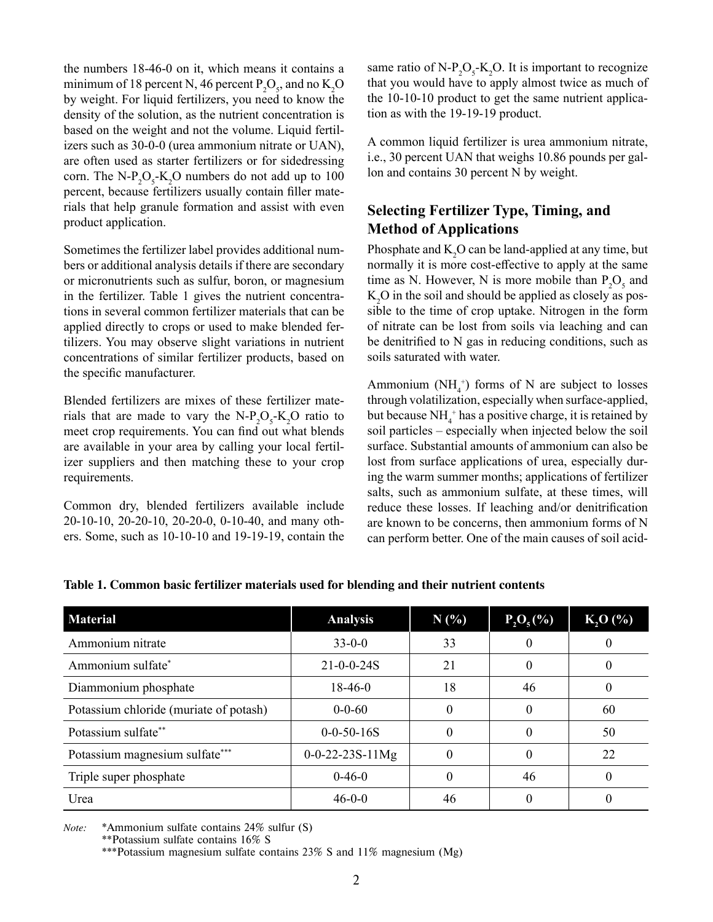the numbers 18-46-0 on it, which means it contains a minimum of 18 percent N, 46 percent  $P_2O_5$ , and no  $K_2O$ by weight. For liquid fertilizers, you need to know the density of the solution, as the nutrient concentration is based on the weight and not the volume. Liquid fertilizers such as 30-0-0 (urea ammonium nitrate or UAN), are often used as starter fertilizers or for sidedressing corn. The  $N-P_2O_5$ - $K_2O$  numbers do not add up to 100 percent, because fertilizers usually contain filler materials that help granule formation and assist with even product application.

Sometimes the fertilizer label provides additional numbers or additional analysis details if there are secondary or micronutrients such as sulfur, boron, or magnesium in the fertilizer. Table 1 gives the nutrient concentrations in several common fertilizer materials that can be applied directly to crops or used to make blended fertilizers. You may observe slight variations in nutrient concentrations of similar fertilizer products, based on the specific manufacturer.

Blended fertilizers are mixes of these fertilizer materials that are made to vary the  $N-P_2O_5-K_2O$  ratio to meet crop requirements. You can find out what blends are available in your area by calling your local fertilizer suppliers and then matching these to your crop requirements.

Common dry, blended fertilizers available include 20-10-10, 20-20-10, 20-20-0, 0-10-40, and many others. Some, such as 10-10-10 and 19-19-19, contain the

same ratio of  $N-P_2O_5-K_2O$ . It is important to recognize that you would have to apply almost twice as much of the 10-10-10 product to get the same nutrient application as with the 19-19-19 product.

A common liquid fertilizer is urea ammonium nitrate, i.e., 30 percent UAN that weighs 10.86 pounds per gallon and contains 30 percent N by weight.

## **Selecting Fertilizer Type, Timing, and Method of Applications**

Phosphate and  $K_2O$  can be land-applied at any time, but normally it is more cost-effective to apply at the same time as N. However, N is more mobile than  $P_2O_5$  and  $\rm K^{}_2\rm O$  in the soil and should be applied as closely as possible to the time of crop uptake. Nitrogen in the form of nitrate can be lost from soils via leaching and can be denitrified to N gas in reducing conditions, such as soils saturated with water.

Ammonium ( $NH_4^+$ ) forms of N are subject to losses through volatilization, especially when surface-applied, but because  $NH_4^+$  has a positive charge, it is retained by soil particles – especially when injected below the soil surface. Substantial amounts of ammonium can also be lost from surface applications of urea, especially during the warm summer months; applications of fertilizer salts, such as ammonium sulfate, at these times, will reduce these losses. If leaching and/or denitrification are known to be concerns, then ammonium forms of N can perform better. One of the main causes of soil acid-

| <b>Material</b>                        | <b>Analysis</b>           | $N(\%)$ | $P_2O_5(\%)$ | $K, O(\%)$ |
|----------------------------------------|---------------------------|---------|--------------|------------|
| Ammonium nitrate                       | $33 - 0 - 0$              | 33      | 0            | 0          |
| Ammonium sulfate <sup>*</sup>          | $21 - 0 - 0 - 24S$        | 21      | $\theta$     | 0          |
| Diammonium phosphate                   | $18-46-0$                 | 18      | 46           | $^{(1)}$   |
| Potassium chloride (muriate of potash) | $0 - 0 - 60$              |         | 0            | 60         |
| Potassium sulfate**                    | $0 - 0 - 50 - 16S$        |         | 0            | 50         |
| Potassium magnesium sulfate***         | $0 - 0 - 22 - 23S - 11Mg$ |         | 0            | 22         |
| Triple super phosphate                 | $0 - 46 - 0$              |         | 46           | 0          |
| Urea                                   | $46 - 0 - 0$              | 46      |              | $^{(1)}$   |

#### **Table 1. Common basic fertilizer materials used for blending and their nutrient contents**

*Note:* \*Ammonium sulfate contains 24% sulfur (S)

\*\*Potassium sulfate contains 16% S

\*\*\*Potassium magnesium sulfate contains 23% S and 11% magnesium (Mg)